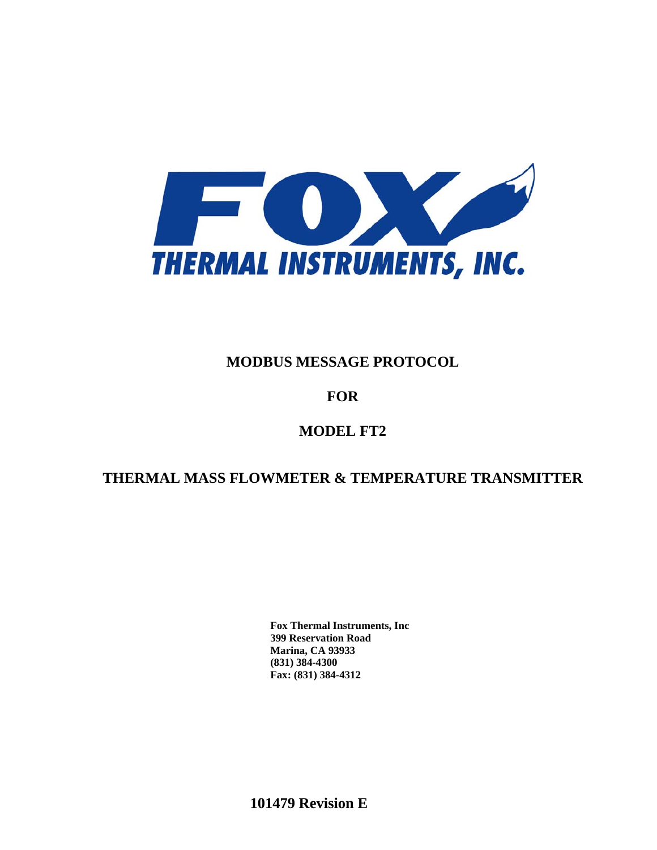

# **MODBUS MESSAGE PROTOCOL**

# **FOR**

# **MODEL FT2**

# **THERMAL MASS FLOWMETER & TEMPERATURE TRANSMITTER**

**Fox Thermal Instruments, Inc 399 Reservation Road Marina, CA 93933 (831) 384-4300 Fax: (831) 384-4312**

**101479 Revision E**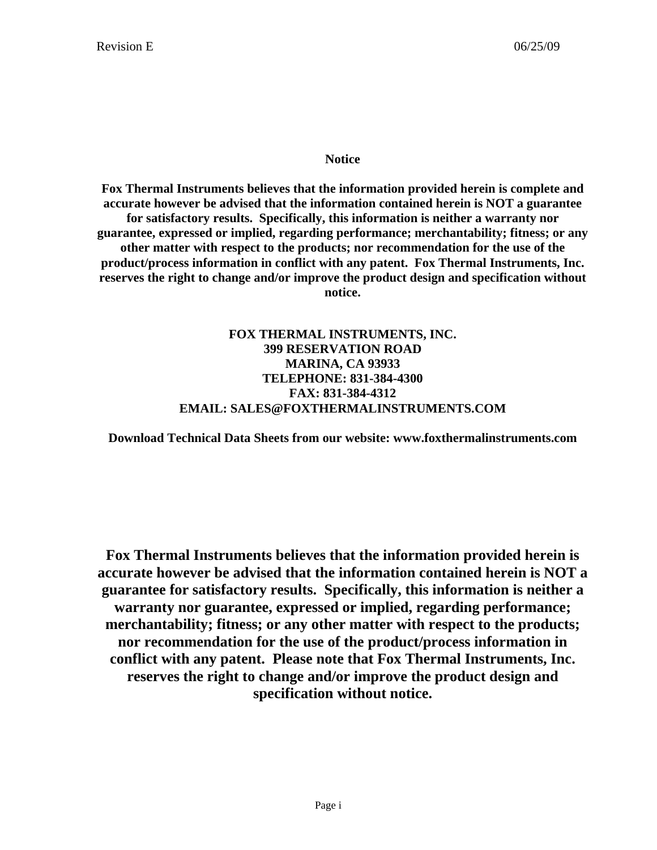### **Notice**

**Fox Thermal Instruments believes that the information provided herein is complete and accurate however be advised that the information contained herein is NOT a guarantee for satisfactory results. Specifically, this information is neither a warranty nor guarantee, expressed or implied, regarding performance; merchantability; fitness; or any other matter with respect to the products; nor recommendation for the use of the product/process information in conflict with any patent. Fox Thermal Instruments, Inc. reserves the right to change and/or improve the product design and specification without notice.** 

### **FOX THERMAL INSTRUMENTS, INC. 399 RESERVATION ROAD MARINA, CA 93933 TELEPHONE: 831-384-4300 FAX: 831-384-4312 EMAIL: SALES@FOXTHERMALINSTRUMENTS.COM**

**Download Technical Data Sheets from our website: www.foxthermalinstruments.com** 

**Fox Thermal Instruments believes that the information provided herein is accurate however be advised that the information contained herein is NOT a guarantee for satisfactory results. Specifically, this information is neither a warranty nor guarantee, expressed or implied, regarding performance; merchantability; fitness; or any other matter with respect to the products; nor recommendation for the use of the product/process information in conflict with any patent. Please note that Fox Thermal Instruments, Inc. reserves the right to change and/or improve the product design and specification without notice.**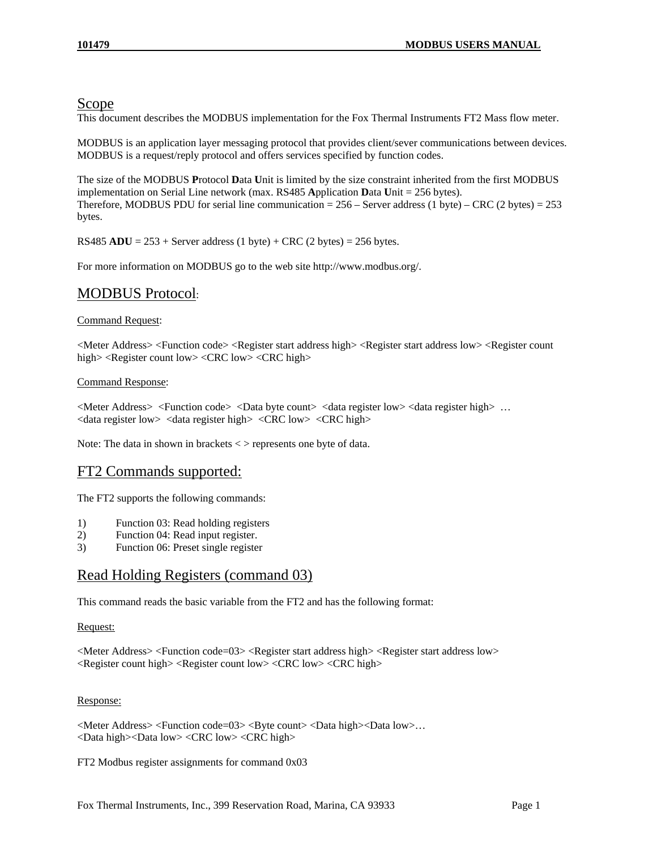### Scope

This document describes the MODBUS implementation for the Fox Thermal Instruments FT2 Mass flow meter.

MODBUS is an application layer messaging protocol that provides client/sever communications between devices. MODBUS is a request/reply protocol and offers services specified by function codes.

The size of the MODBUS **P**rotocol **D**ata **U**nit is limited by the size constraint inherited from the first MODBUS implementation on Serial Line network (max. RS485 **A**pplication **D**ata **U**nit = 256 bytes). Therefore, MODBUS PDU for serial line communication  $= 256$  – Server address (1 byte) – CRC (2 bytes)  $= 253$ bytes.

RS485  $ADU = 253 +$  Server address (1 byte) + CRC (2 bytes) = 256 bytes.

For more information on MODBUS go to the web site http://www.modbus.org/.

## MODBUS Protocol:

#### Command Request:

<Meter Address> <Function code> <Register start address high> <Register start address low> <Register count high> <Register count low> <CRC low> <CRC high>

#### Command Response:

<Meter Address> <Function code> <Data byte count> <data register low> <data register high> … <data register low> <data register high> <CRC low> <CRC high>

Note: The data in shown in brackets < > represents one byte of data.

### FT2 Commands supported:

The FT2 supports the following commands:

- 1) Function 03: Read holding registers
- 2) Function 04: Read input register.
- 3) Function 06: Preset single register

### Read Holding Registers (command 03)

This command reads the basic variable from the FT2 and has the following format:

#### Request:

<Meter Address> <Function code=03> <Register start address high> <Register start address low> <Register count high> <Register count low> <CRC low> <CRC high>

#### Response:

<Meter Address> <Function code=03> <Byte count> <Data high><Data low>… <Data high><Data low> <CRC low> <CRC high>

FT2 Modbus register assignments for command 0x03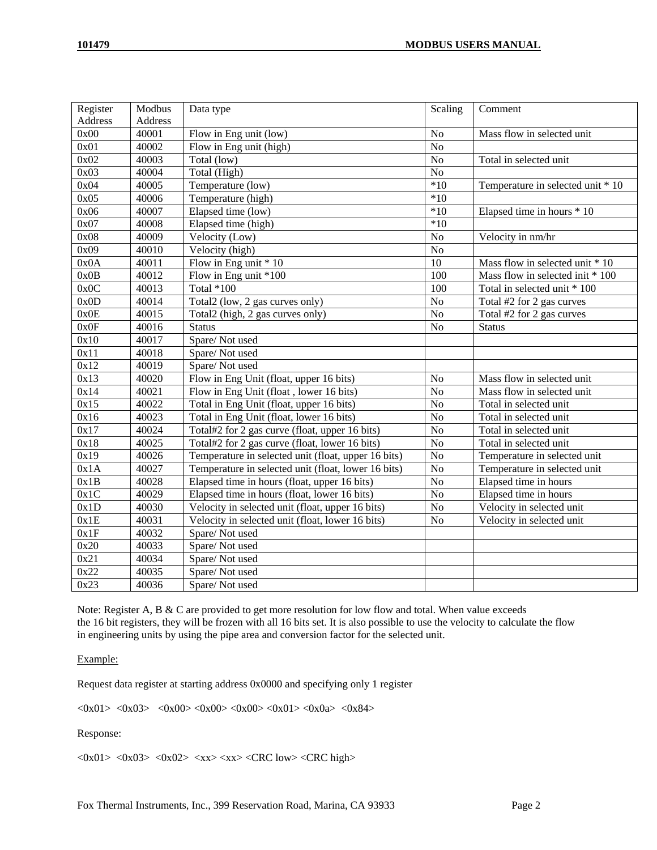| Register       | Modbus            | Data type                                           | Scaling          | Comment                           |
|----------------|-------------------|-----------------------------------------------------|------------------|-----------------------------------|
| <b>Address</b> | <b>Address</b>    |                                                     |                  |                                   |
| 0x00           | 40001             | Flow in Eng unit (low)                              | N <sub>o</sub>   | Mass flow in selected unit        |
| 0x01           | 40002             | Flow in Eng unit (high)                             | No               |                                   |
| 0x02           | 40003             | Total (low)                                         | N <sub>o</sub>   | Total in selected unit            |
| 0x03           | 40004             | Total (High)                                        | No               |                                   |
| 0x04           | 40005             | Temperature (low)                                   | $*10$            | Temperature in selected unit * 10 |
| 0x05           | 40006             | Temperature (high)                                  | $*10$            |                                   |
| 0x06           | 40007             | Elapsed time (low)                                  | $*10$            | Elapsed time in hours * 10        |
| 0x07           | 40008             | Elapsed time (high)                                 | $*10$            |                                   |
| 0x08           | 40009             | Velocity (Low)                                      | N <sub>o</sub>   | Velocity in nm/hr                 |
| 0x09           | 40010             | Velocity (high)                                     | $\overline{No}$  |                                   |
| 0x0A           | 40011             | Flow in Eng unit * 10                               | 10               | Mass flow in selected unit * 10   |
| 0x0B           | $\frac{1}{40012}$ | Flow in Eng unit *100                               | 100              | Mass flow in selected init * 100  |
| 0x0C           | 40013             | Total *100                                          | $\overline{100}$ | Total in selected unit * 100      |
| 0x0D           | 40014             | Total2 (low, 2 gas curves only)                     | No               | Total #2 for 2 gas curves         |
| 0x0E           | 40015             | Total2 (high, 2 gas curves only)                    | No               | Total #2 for 2 gas curves         |
| 0x0F           | 40016             | <b>Status</b>                                       | N <sub>o</sub>   | <b>Status</b>                     |
| 0x10           | 40017             | Spare/Not used                                      |                  |                                   |
| 0x11           | 40018             | Spare/Not used                                      |                  |                                   |
| 0x12           | 40019             | Spare/Not used                                      |                  |                                   |
| 0x13           | 40020             | Flow in Eng Unit (float, upper 16 bits)             | N <sub>o</sub>   | Mass flow in selected unit        |
| 0x14           | 40021             | Flow in Eng Unit (float, lower 16 bits)             | $\rm No$         | Mass flow in selected unit        |
| 0x15           | 40022             | Total in Eng Unit (float, upper 16 bits)            | No               | Total in selected unit            |
| 0x16           | 40023             | Total in Eng Unit (float, lower 16 bits)            | N <sub>o</sub>   | Total in selected unit            |
| 0x17           | 40024             | Total#2 for 2 gas curve (float, upper 16 bits)      | N <sub>o</sub>   | Total in selected unit            |
| 0x18           | 40025             | Total#2 for 2 gas curve (float, lower 16 bits)      | No               | Total in selected unit            |
| 0x19           | 40026             | Temperature in selected unit (float, upper 16 bits) | N <sub>o</sub>   | Temperature in selected unit      |
| 0x1A           | 40027             | Temperature in selected unit (float, lower 16 bits) | $\rm No$         | Temperature in selected unit      |
| 0x1B           | 40028             | Elapsed time in hours (float, upper 16 bits)        | N <sub>o</sub>   | Elapsed time in hours             |
| 0x1C           | 40029             | Elapsed time in hours (float, lower 16 bits)        | $\rm No$         | Elapsed time in hours             |
| 0x1D           | 40030             | Velocity in selected unit (float, upper 16 bits)    | N <sub>o</sub>   | Velocity in selected unit         |
| 0x1E           | 40031             | Velocity in selected unit (float, lower 16 bits)    | No               | Velocity in selected unit         |
| 0x1F           | 40032             | Spare/Not used                                      |                  |                                   |
| 0x20           | 40033             | Spare/Not used                                      |                  |                                   |
| 0x21           | 40034             | Spare/Not used                                      |                  |                                   |
| 0x22           | 40035             | Spare/Not used                                      |                  |                                   |
| 0x23           | 40036             | Spare/Not used                                      |                  |                                   |

Note: Register A, B & C are provided to get more resolution for low flow and total. When value exceeds the 16 bit registers, they will be frozen with all 16 bits set. It is also possible to use the velocity to calculate the flow in engineering units by using the pipe area and conversion factor for the selected unit.

#### Example:

Request data register at starting address 0x0000 and specifying only 1 register

 $\langle 0x01 \rangle \langle 0x03 \rangle \langle 0x00 \rangle \langle 0x00 \rangle \langle 0x00 \rangle \langle 0x01 \rangle \langle 0x01 \rangle \langle 0x02 \rangle \langle 0x84 \rangle$ 

#### Response:

 $\langle 0x01 \rangle$   $\langle 0x03 \rangle$   $\langle 0x02 \rangle$   $\langle xx \rangle \langle xx \rangle$   $\langle CRC$  low $\rangle$   $\langle CRC$  high $\rangle$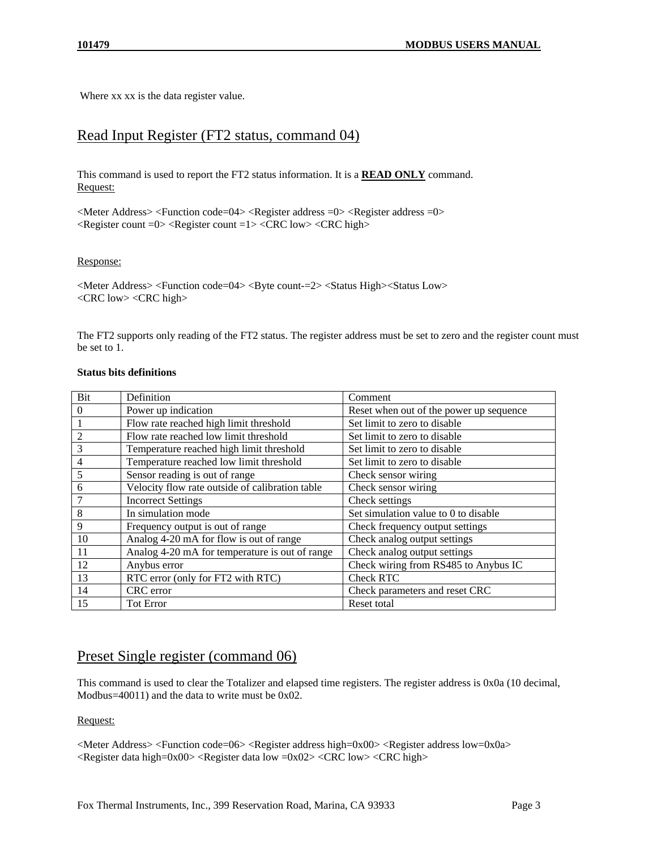Where xx xx is the data register value.

### Read Input Register (FT2 status, command 04)

This command is used to report the FT2 status information. It is a **READ ONLY** command. Request:

<Meter Address> <Function code=04> <Register address =0> <Register address =0> <Register count =0> <Register count =1> <CRC low> <CRC high>

#### Response:

<Meter Address> <Function code=04> <Byte count-=2> <Status High><Status Low> <CRC low> <CRC high>

The FT2 supports only reading of the FT2 status. The register address must be set to zero and the register count must be set to 1.

#### **Status bits definitions**

| Bit | Definition                                      | Comment                                 |
|-----|-------------------------------------------------|-----------------------------------------|
| 0   | Power up indication                             | Reset when out of the power up sequence |
|     | Flow rate reached high limit threshold          | Set limit to zero to disable            |
| 2   | Flow rate reached low limit threshold           | Set limit to zero to disable            |
| 3   | Temperature reached high limit threshold        | Set limit to zero to disable            |
| 4   | Temperature reached low limit threshold         | Set limit to zero to disable            |
| 5   | Sensor reading is out of range                  | Check sensor wiring                     |
| 6   | Velocity flow rate outside of calibration table | Check sensor wiring                     |
|     | <b>Incorrect Settings</b>                       | Check settings                          |
| 8   | In simulation mode                              | Set simulation value to 0 to disable    |
| 9   | Frequency output is out of range                | Check frequency output settings         |
| 10  | Analog 4-20 mA for flow is out of range         | Check analog output settings            |
| 11  | Analog 4-20 mA for temperature is out of range  | Check analog output settings            |
| 12  | Anybus error                                    | Check wiring from RS485 to Anybus IC    |
| 13  | RTC error (only for FT2 with RTC)               | <b>Check RTC</b>                        |
| 14  | CRC error                                       | Check parameters and reset CRC          |
| 15  | <b>Tot Error</b>                                | Reset total                             |

### Preset Single register (command 06)

This command is used to clear the Totalizer and elapsed time registers. The register address is 0x0a (10 decimal, Modbus=40011) and the data to write must be 0x02.

#### Request:

<Meter Address> <Function code=06> <Register address high=0x00> <Register address low=0x0a>  $\langle$ Register data high=0x00>  $\langle$ Register data low =0x02>  $\langle$ CRC low>  $\langle$ CRC high>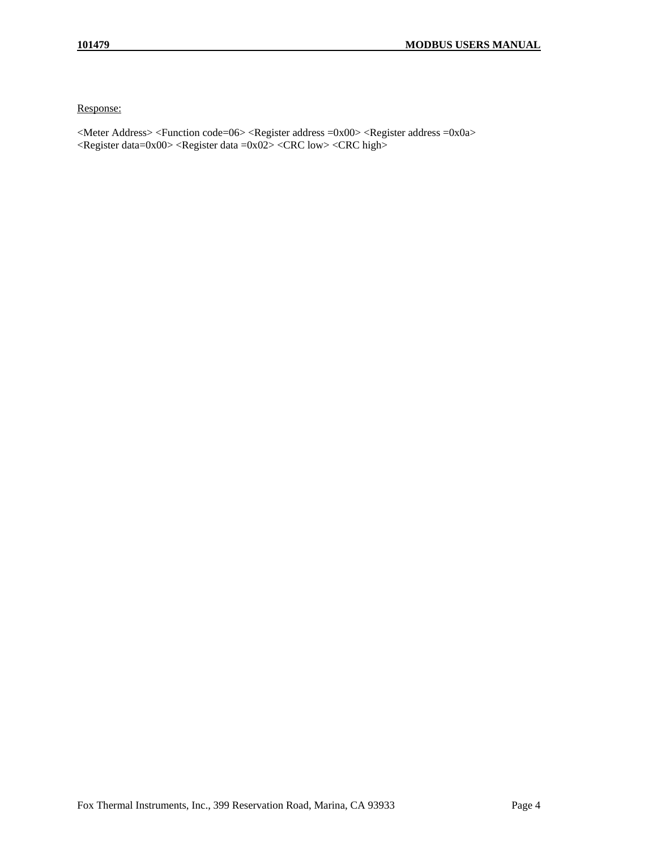Response:

<Meter Address> <Function code=06> <Register address =0x00> <Register address =0x0a> <Register data=0x00> <Register data =0x02> <CRC low> <CRC high>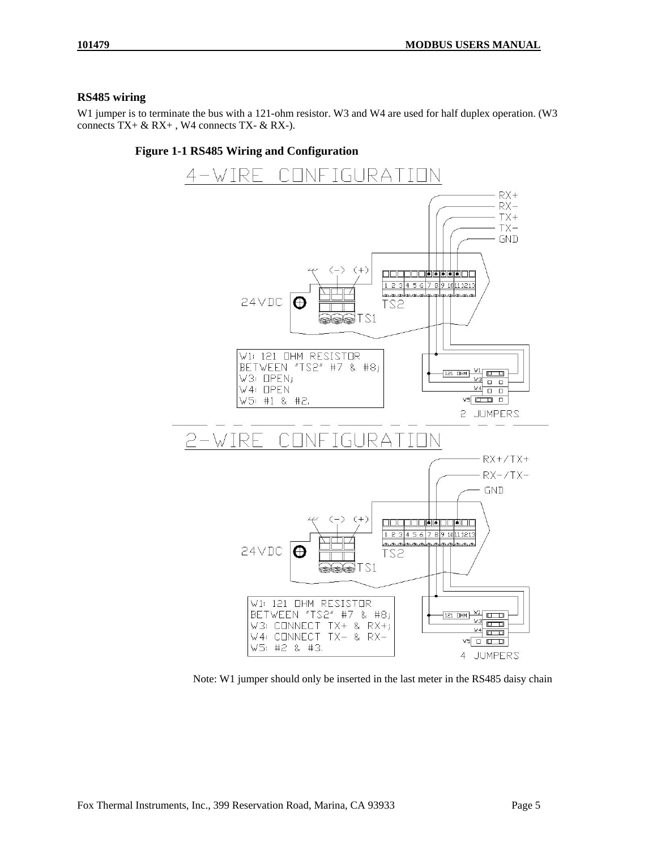#### **RS485 wiring**

W1 jumper is to terminate the bus with a 121-ohm resistor. W3 and W4 are used for half duplex operation. (W3 connects  $TX + \& RX +$ , W4 connects  $TX - \& RX$ .



Note: W1 jumper should only be inserted in the last meter in the RS485 daisy chain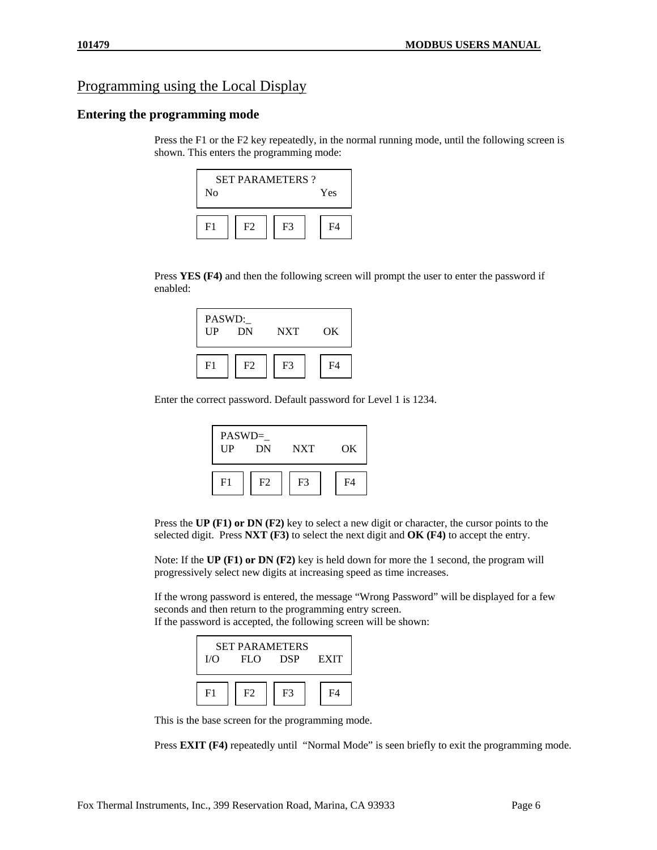## Programming using the Local Display

#### **Entering the programming mode**

Press the F1 or the F2 key repeatedly, in the normal running mode, until the following screen is shown. This enters the programming mode:

| $\rm No$                         | <b>SET PARAMETERS?</b><br>Yes |  |  |  |  |  |
|----------------------------------|-------------------------------|--|--|--|--|--|
| F <sup>3</sup><br>F2<br>F4<br>F1 |                               |  |  |  |  |  |

Press **YES (F4)** and then the following screen will prompt the user to enter the password if enabled:

| PASWD:<br>$_{\text{UP}}$ | DN             | <b>NXT</b>     | OK             |
|--------------------------|----------------|----------------|----------------|
| F <sub>1</sub>           | F <sub>2</sub> | F <sub>3</sub> | F <sub>4</sub> |

Enter the correct password. Default password for Level 1 is 1234.

| $PASWD=$<br>$_{\rm UP}$ | DN | <b>NXT</b>     | OK |
|-------------------------|----|----------------|----|
| F <sub>1</sub>          | F2 | F <sub>3</sub> | FA |

Press the **UP (F1) or DN (F2)** key to select a new digit or character, the cursor points to the selected digit. Press **NXT (F3)** to select the next digit and **OK (F4)** to accept the entry.

Note: If the **UP (F1) or DN (F2)** key is held down for more the 1 second, the program will progressively select new digits at increasing speed as time increases.

If the wrong password is entered, the message "Wrong Password" will be displayed for a few seconds and then return to the programming entry screen. If the password is accepted, the following screen will be shown:

| <b>SET PARAMETERS</b><br><b>EXIT</b><br>I/O<br><b>DSP</b><br>FLO |  |  |  |  |  |
|------------------------------------------------------------------|--|--|--|--|--|
| FA<br>F3<br>F <sub>2</sub><br>$_{\rm F1}$                        |  |  |  |  |  |

This is the base screen for the programming mode.

Press **EXIT (F4)** repeatedly until "Normal Mode" is seen briefly to exit the programming mode.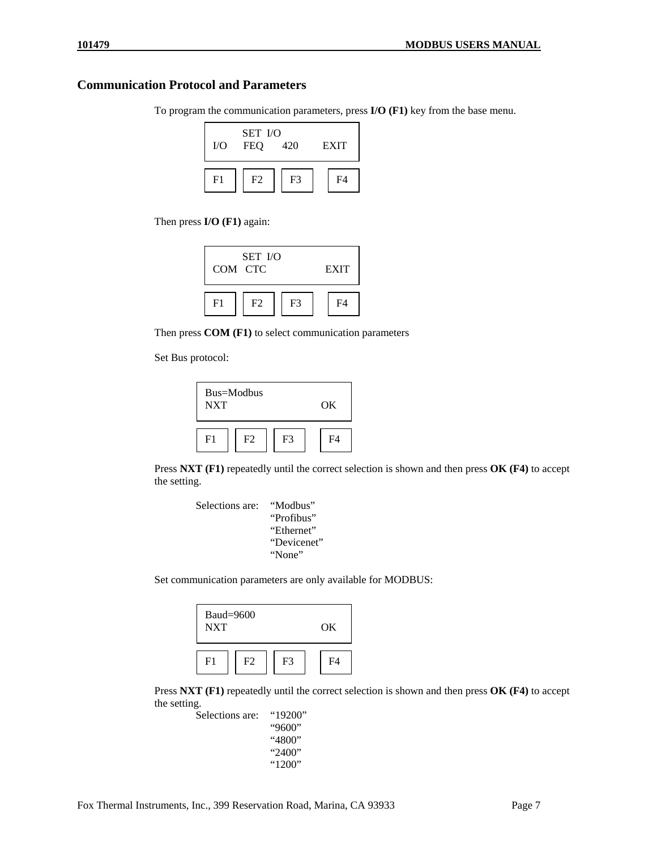### **Communication Protocol and Parameters**

To program the communication parameters, press **I/O (F1)** key from the base menu.



Then press **I/O (F1)** again:



Then press **COM (F1)** to select communication parameters

Set Bus protocol:



Press **NXT (F1)** repeatedly until the correct selection is shown and then press **OK (F4)** to accept the setting.



Set communication parameters are only available for MODBUS:

| $Baud=9600$<br><b>NXT</b> |                |                | OK             |
|---------------------------|----------------|----------------|----------------|
| F <sub>1</sub>            | F <sub>2</sub> | F <sub>3</sub> | F <sub>4</sub> |

Press **NXT (F1)** repeatedly until the correct selection is shown and then press **OK (F4)** to accept the setting.

Selections are: "19200" "9600" "4800" "2400" "1200"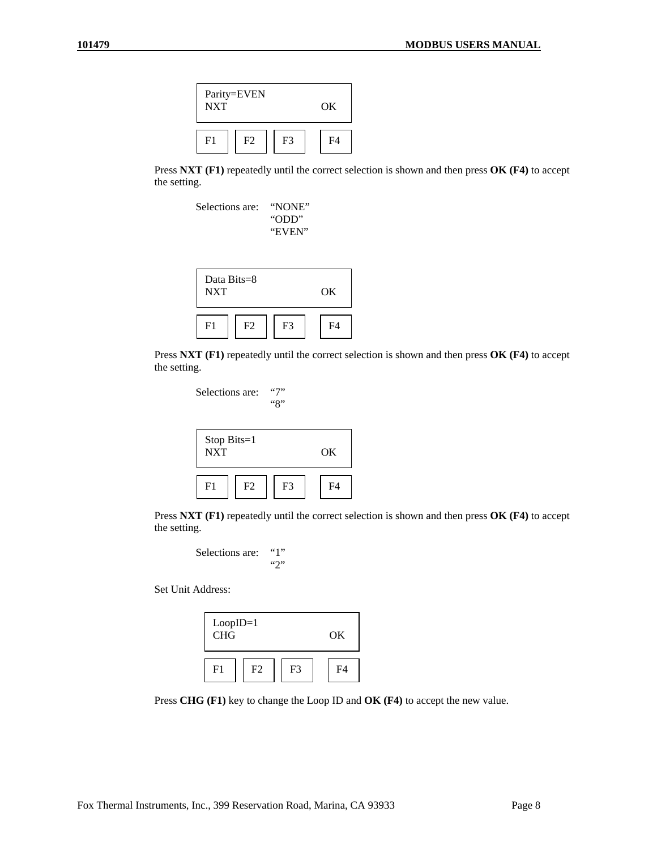

Press **NXT (F1)** repeatedly until the correct selection is shown and then press **OK (F4)** to accept the setting.



Press **NXT (F1)** repeatedly until the correct selection is shown and then press **OK (F4)** to accept the setting.

Selections are: "7" "8"

| Stop Bits=1<br><b>NXT</b> | OK             |                |                |
|---------------------------|----------------|----------------|----------------|
| F <sub>1</sub>            | F <sub>2</sub> | F <sub>3</sub> | F <sub>4</sub> |

Press **NXT (F1)** repeatedly until the correct selection is shown and then press **OK (F4)** to accept the setting.



Set Unit Address:

| $Loop ID=1$<br><b>CHG</b> | OK             |                |                |
|---------------------------|----------------|----------------|----------------|
| F <sub>1</sub>            | F <sub>2</sub> | F <sub>3</sub> | F <sub>4</sub> |

Press **CHG (F1)** key to change the Loop ID and **OK (F4)** to accept the new value.